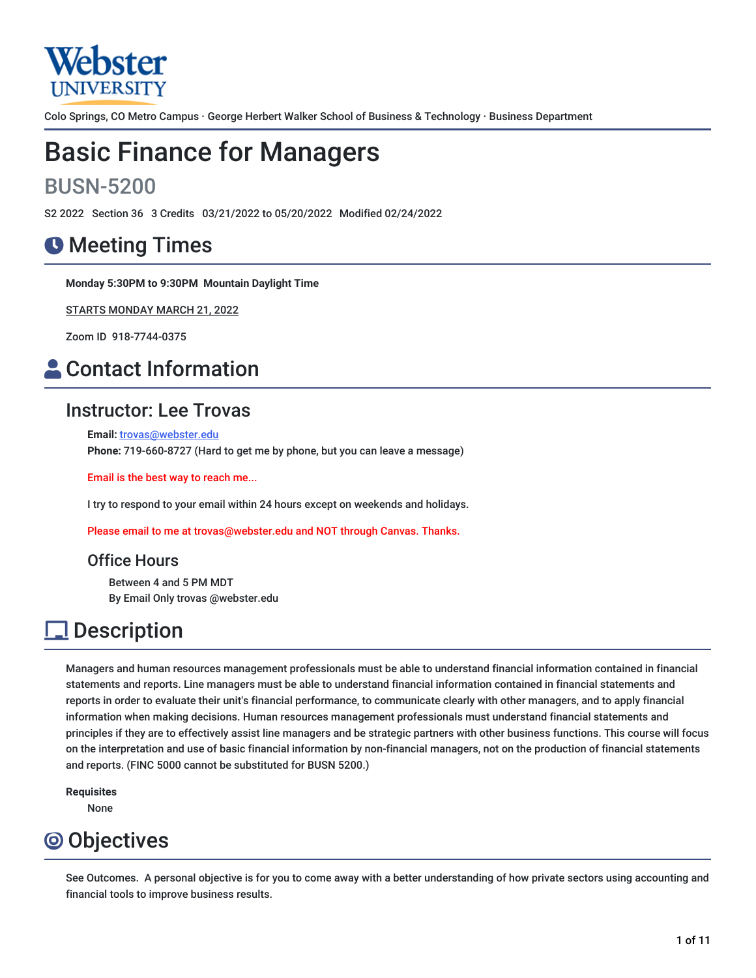

Colo Springs, CO Metro Campus · George Herbert Walker School of Business & Technology · Business Department

# Basic Finance for Managers

## BUSN-5200

S2 2022 Section 36 3 Credits 03/21/2022 to 05/20/2022 Modified 02/24/2022

## **O** Meeting Times

**Monday 5:30PM to 9:30PM Mountain Daylight Time**

STARTS MONDAY MARCH 21, 2022

Zoom ID 918-7744-0375

## **A** Contact Information

### Instructor: Lee Trovas

**Email:** [trovas@webster.edu](mailto:trovas@webster.edu) **Phone:** 719-660-8727 (Hard to get me by phone, but you can leave a message)

Email is the best way to reach me...

I try to respond to your email within 24 hours except on weekends and holidays.

Please email to me at trovas@webster.edu and NOT through Canvas. Thanks.

### Office Hours

Between 4 and 5 PM MDT By Email Only trovas @webster.edu

## Description

Managers and human resources management professionals must be able to understand financial information contained in financial statements and reports. Line managers must be able to understand financial information contained in financial statements and reports in order to evaluate their unit's financial performance, to communicate clearly with other managers, and to apply financial information when making decisions. Human resources management professionals must understand financial statements and principles if they are to effectively assist line managers and be strategic partners with other business functions. This course will focus on the interpretation and use of basic financial information by non-financial managers, not on the production of financial statements and reports. (FINC 5000 cannot be substituted for BUSN 5200.)

**Requisites**

None

## Objectives

See Outcomes. A personal objective is for you to come away with a better understanding of how private sectors using accounting and financial tools to improve business results.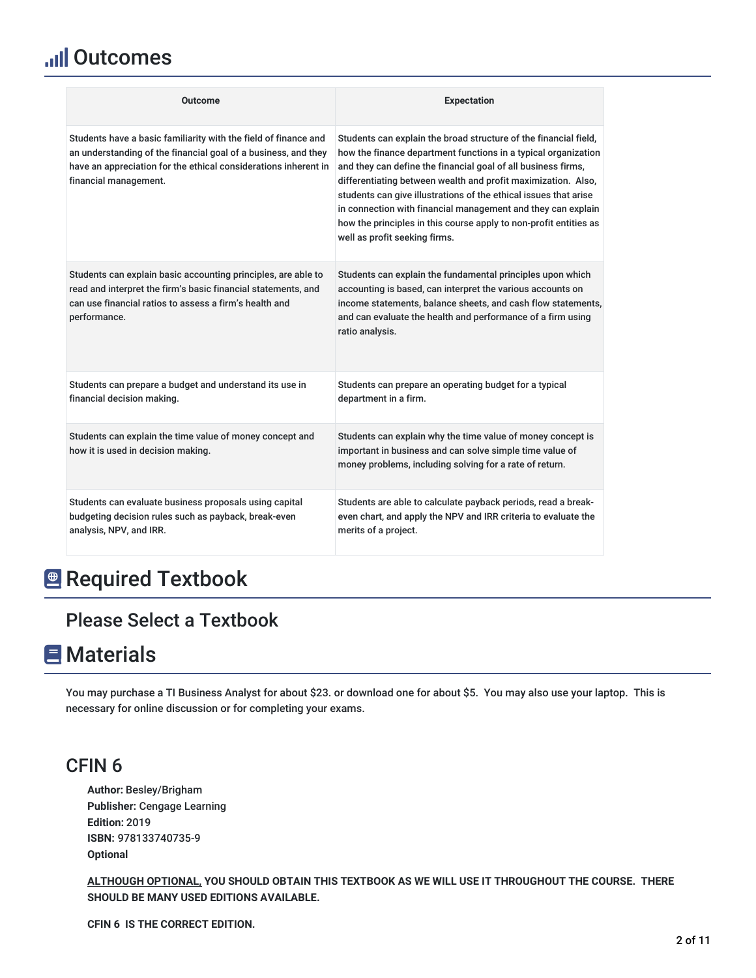## **Ill Outcomes**

| <b>Outcome</b>                                                                                                                                                                                                                | <b>Expectation</b>                                                                                                                                                                                                                                                                                                                                                                                                                                                                                             |  |
|-------------------------------------------------------------------------------------------------------------------------------------------------------------------------------------------------------------------------------|----------------------------------------------------------------------------------------------------------------------------------------------------------------------------------------------------------------------------------------------------------------------------------------------------------------------------------------------------------------------------------------------------------------------------------------------------------------------------------------------------------------|--|
| Students have a basic familiarity with the field of finance and<br>an understanding of the financial goal of a business, and they<br>have an appreciation for the ethical considerations inherent in<br>financial management. | Students can explain the broad structure of the financial field,<br>how the finance department functions in a typical organization<br>and they can define the financial goal of all business firms,<br>differentiating between wealth and profit maximization. Also,<br>students can give illustrations of the ethical issues that arise<br>in connection with financial management and they can explain<br>how the principles in this course apply to non-profit entities as<br>well as profit seeking firms. |  |
| Students can explain basic accounting principles, are able to<br>read and interpret the firm's basic financial statements, and<br>can use financial ratios to assess a firm's health and<br>performance.                      | Students can explain the fundamental principles upon which<br>accounting is based, can interpret the various accounts on<br>income statements, balance sheets, and cash flow statements,<br>and can evaluate the health and performance of a firm using<br>ratio analysis.                                                                                                                                                                                                                                     |  |
| Students can prepare a budget and understand its use in<br>financial decision making.                                                                                                                                         | Students can prepare an operating budget for a typical<br>department in a firm.                                                                                                                                                                                                                                                                                                                                                                                                                                |  |
| Students can explain the time value of money concept and<br>how it is used in decision making.                                                                                                                                | Students can explain why the time value of money concept is<br>important in business and can solve simple time value of<br>money problems, including solving for a rate of return.                                                                                                                                                                                                                                                                                                                             |  |
| Students can evaluate business proposals using capital<br>budgeting decision rules such as payback, break-even<br>analysis, NPV, and IRR.                                                                                     | Students are able to calculate payback periods, read a break-<br>even chart, and apply the NPV and IRR criteria to evaluate the<br>merits of a project.                                                                                                                                                                                                                                                                                                                                                        |  |

## **Required Textbook**

## Please Select a Textbook

## **E** Materials

You may purchase a TI Business Analyst for about \$23. or download one for about \$5. You may also use your laptop. This is necessary for online discussion or for completing your exams.

### CFIN 6

**Author:** Besley/Brigham **Publisher:** Cengage Learning **Edition:** 2019 **ISBN:** 978133740735-9 **Optional**

**ALTHOUGH OPTIONAL, YOU SHOULD OBTAIN THIS TEXTBOOK AS WE WILL USE IT THROUGHOUT THE COURSE. THERE SHOULD BE MANY USED EDITIONS AVAILABLE.**

**CFIN 6 IS THE CORRECT EDITION.**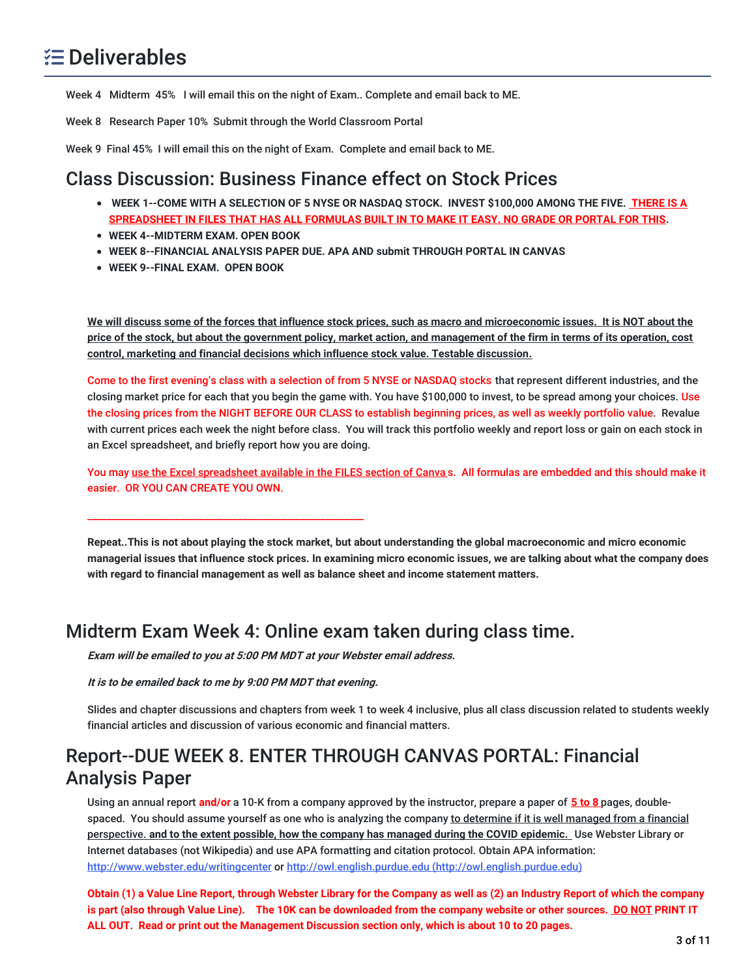Week 4 Midterm 45% I will email this on the night of Exam.. Complete and email back to ME.

Week 8 Research Paper 10% Submit through the World Classroom Portal

Week 9 Final 45% I will email this on the night of Exam. Complete and email back to ME.

### Class Discussion: Business Finance effect on Stock Prices

- WEEK 1--COME WITH A SELECTION OF 5 NYSE OR NASDAQ STOCK. INVEST \$100,000 AMONG THE FIVE. THERE IS A SPREADSHEET IN FILES THAT HAS ALL FORMULAS BUILT IN TO MAKE IT EASY. NO GRADE OR PORTAL FOR THIS.
- **WEEK 4--MIDTERM EXAM. OPEN BOOK**
- **WEEK 8--FINANCIAL ANALYSIS PAPER DUE. APA AND submit THROUGH PORTAL IN CANVAS**
- **WEEK 9--FINAL EXAM. OPEN BOOK**

We will discuss some of the forces that influence stock prices, such as macro and microeconomic issues. It is NOT about the price of the stock, but about the government policy, market action, and management of the firm in terms of its operation, cost **control, marketing and financial decisions which influence stock value. Testable discussion.**

Come to the first evening's class with a selection of from 5 NYSE or NASDAQ stocks that represent different industries, and the closing market price for each that you begin the game with. You have \$100,000 to invest, to be spread among your choices. Use the closing prices from the NIGHT BEFORE OUR CLASS to establish beginning prices, as well as weekly portfolio value. Revalue with current prices each week the night before class. You will track this portfolio weekly and report loss or gain on each stock in an Excel spreadsheet, and briefly report how you are doing.

You may use the Excel spreadsheet available in the FILES section of Canva s. All formulas are embedded and this should make it easier. OR YOU CAN CREATE YOU OWN.

Repeat..This is not about playing the stock market, but about understanding the global macroeconomic and micro economic managerial issues that influence stock prices. In examining micro economic issues, we are talking about what the company does **with regard to financial management as well as balance sheet and income statement matters.**

### Midterm Exam Week 4: Online exam taken during class time.

**Exam will be emailed to you at 5:00 PM MDT at your Webster email address.**

**It is to be emailed back to me by 9:00 PM MDT that evening.**

\_\_\_\_\_\_\_\_\_\_\_\_\_\_\_\_\_\_\_\_\_\_\_\_\_\_\_\_\_\_\_\_\_\_\_\_\_\_\_\_\_\_\_\_\_\_\_\_\_\_\_\_\_\_\_\_\_

Slides and chapter discussions and chapters from week 1 to week 4 inclusive, plus all class discussion related to students weekly financial articles and discussion of various economic and financial matters.

## Report--DUE WEEK 8. ENTER THROUGH CANVAS PORTAL: Financial Analysis Paper

Using an annual report **and/or** a 10-K from a company approved by the instructor, prepare a paper of **5 to 8** pages, doublespaced. You should assume yourself as one who is analyzing the company to determine if it is well managed from a financial perspective. **and to the extent possible, how the company has managed during the COVID epidemic.** Use Webster Library or Internet databases (not Wikipedia) and use APA formatting and citation protocol. Obtain APA information: <http://www.webster.edu/writingcenter> or http://owl.english.purdue.edu [\(http://owl.english.purdue.edu\)](http://owl.english.purdue.edu)

Obtain (1) a Value Line Report, through Webster Library for the Company as well as (2) an Industry Report of which the company is part (also through Value Line). The 10K can be downloaded from the company website or other sources. DO NOT PRINT IT **ALL OUT. Read or print out the Management Discussion section only, which is about 10 to 20 pages.**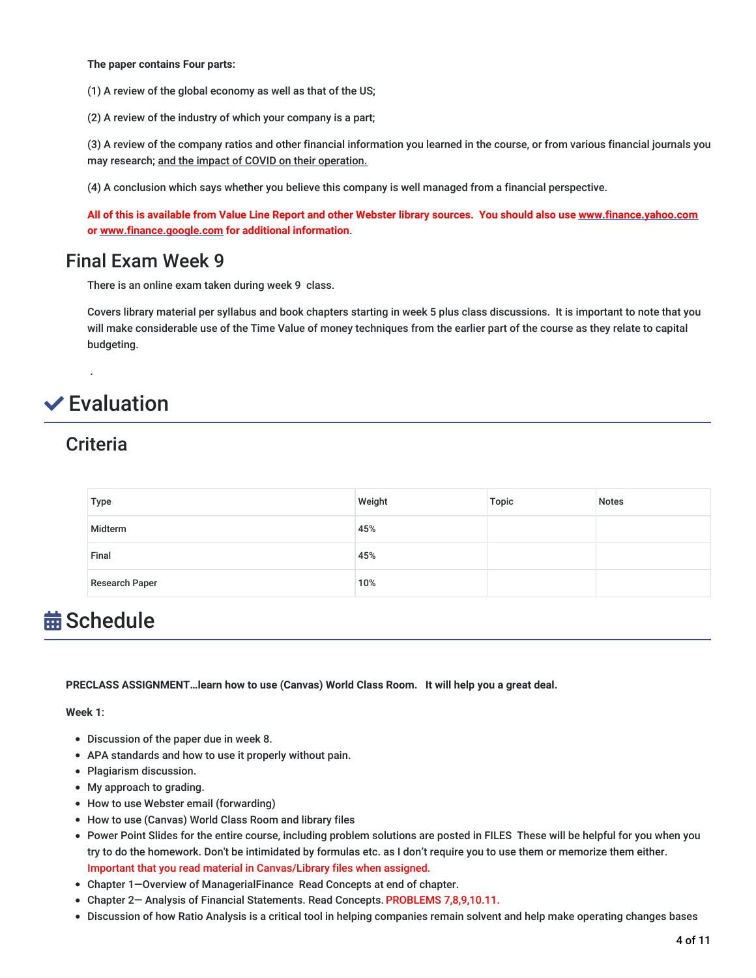**The paper contains Four parts:**

(1) A review of the global economy as well as that of the US;

(2) A review of the industry of which your company is a part;

(3) A review of the company ratios and other financial information you learned in the course, or from various financial journals you may research; and the impact of COVID on their operation.

(4) A conclusion which says whether you believe this company is well managed from a financial perspective.

All of this is available from Value Line Report and other Webster library sources. You should also use [www.finance.yahoo.com](http://www.finance.yahoo.com/) **or [www.finance.google.com](http://www.finance.google.com/) for additional information**.

### Final Exam Week 9

There is an online exam taken during week 9 class.

Covers library material per syllabus and book chapters starting in week 5 plus class discussions. It is important to note that you will make considerable use of the Time Value of money techniques from the earlier part of the course as they relate to capital budgeting.

## **✓**Evaluation

### **Criteria**

.

| <b>Type</b>           | Weight | Topic | <b>Notes</b> |
|-----------------------|--------|-------|--------------|
| Midterm               | 45%    |       |              |
| Final                 | 45%    |       |              |
| <b>Research Paper</b> | 10%    |       |              |

## **益 Schedule**

**PRECLASS ASSIGNMENT…learn how to use (Canvas) World Class Room. It will help you a great deal.**

**Week 1**:

- Discussion of the paper due in week 8.
- APA standards and how to use it properly without pain.
- Plagiarism discussion.
- My approach to grading.
- How to use Webster email (forwarding)
- How to use (Canvas) World Class Room and library files
- Power Point Slides for the entire course, including problem solutions are posted in FILES These will be helpful for you when you try to do the homework. Don't be intimidated by formulas etc. as I don't require you to use them or memorize them either. Important that you read material in Canvas/Library files when assigned.
- Chapter 1—Overview of ManagerialFinance Read Concepts at end of chapter.
- Chapter 2— Analysis of Financial Statements. Read Concepts. PROBLEMS 7,8,9,10.11.
- Discussion of how Ratio Analysis is a critical tool in helping companies remain solvent and help make operating changes bases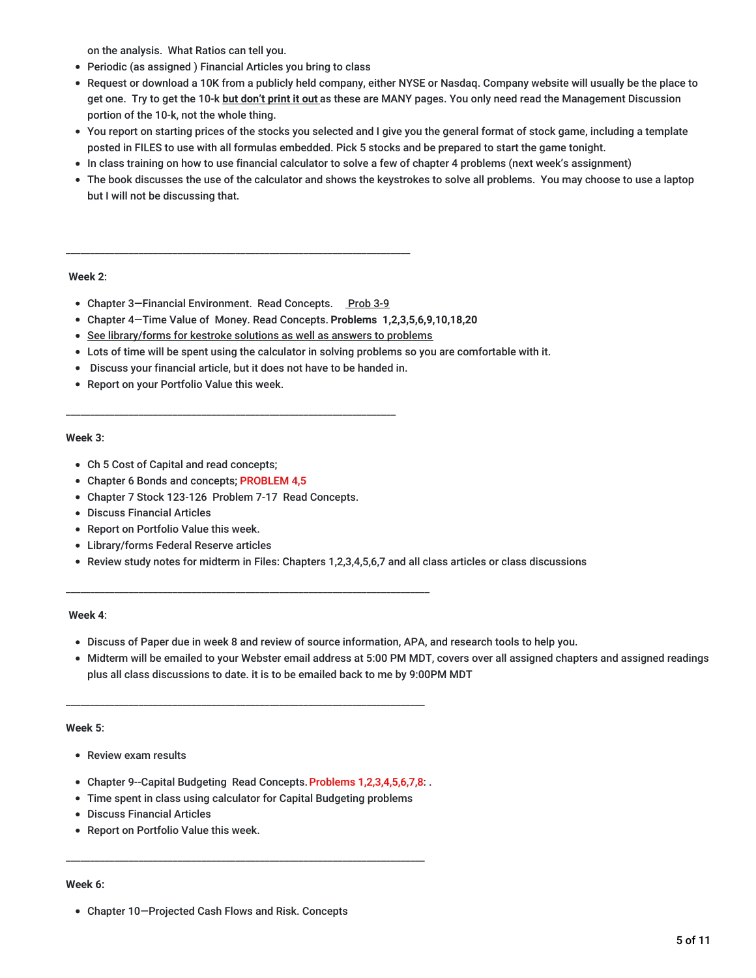on the analysis. What Ratios can tell you.

- Periodic (as assigned ) Financial Articles you bring to class
- Request or download a 10K from a publicly held company, either NYSE or Nasdaq. Company website will usually be the place to get one. Try to get the 10-k **but don't print it out** as these are MANY pages. You only need read the Management Discussion portion of the 10-k, not the whole thing.
- You report on starting prices of the stocks you selected and I give you the general format of stock game, including a template posted in FILES to use with all formulas embedded. Pick 5 stocks and be prepared to start the game tonight.
- In class training on how to use financial calculator to solve a few of chapter 4 problems (next week's assignment)
- The book discusses the use of the calculator and shows the keystrokes to solve all problems. You may choose to use a laptop but I will not be discussing that.

#### **Week 2**:

• Chapter 3-Financial Environment. Read Concepts. Prob 3-9

\_\_\_\_\_\_\_\_\_\_\_\_\_\_\_\_\_\_\_\_\_\_\_\_\_\_\_\_\_\_\_\_\_\_\_\_\_\_\_\_\_\_\_\_\_\_\_\_\_\_\_\_\_\_\_\_\_\_\_\_\_\_\_\_\_\_\_\_\_\_\_

- Chapter 4—Time Value of Money. Read Concepts. **Problems 1,2,3,5,6,9,10,18,20**
- See library/forms for kestroke solutions as well as answers to problems
- Lots of time will be spent using the calculator in solving problems so you are comfortable with it.
- Discuss your financial article, but it does not have to be handed in.

\_\_\_\_\_\_\_\_\_\_\_\_\_\_\_\_\_\_\_\_\_\_\_\_\_\_\_\_\_\_\_\_\_\_\_\_\_\_\_\_\_\_\_\_\_\_\_\_\_\_\_\_\_\_\_\_\_\_\_\_\_\_\_\_\_\_\_\_

Report on your Portfolio Value this week.

#### **Week 3**:

- Ch 5 Cost of Capital and read concepts;
- Chapter 6 Bonds and concepts; PROBLEM 4,5
- Chapter 7 Stock 123-126 Problem 7-17 Read Concepts.
- Discuss Financial Articles
- Report on Portfolio Value this week.
- Library/forms Federal Reserve articles
- Review study notes for midterm in Files: Chapters 1,2,3,4,5,6,7 and all class articles or class discussions

#### **Week 4**:

- Discuss of Paper due in week 8 and review of source information, APA, and research tools to help you.
- Midterm will be emailed to your Webster email address at 5:00 PM MDT, covers over all assigned chapters and assigned readings plus all class discussions to date. it is to be emailed back to me by 9:00PM MDT

#### **Week 5**:

- Review exam results
- Chapter 9--Capital Budgeting Read Concepts. Problems 1,2,3,4,5,6,7,8:.

\_\_\_\_\_\_\_\_\_\_\_\_\_\_\_\_\_\_\_\_\_\_\_\_\_\_\_\_\_\_\_\_\_\_\_\_\_\_\_\_\_\_\_\_\_\_\_\_\_\_\_\_\_\_\_\_\_\_\_\_\_\_\_\_\_\_\_\_\_\_\_\_\_\_

\_\_\_\_\_\_\_\_\_\_\_\_\_\_\_\_\_\_\_\_\_\_\_\_\_\_\_\_\_\_\_\_\_\_\_\_\_\_\_\_\_\_\_\_\_\_\_\_\_\_\_\_\_\_\_\_\_\_\_\_\_\_\_\_\_\_\_\_\_\_\_\_\_\_\_

Time spent in class using calculator for Capital Budgeting problems

\_\_\_\_\_\_\_\_\_\_\_\_\_\_\_\_\_\_\_\_\_\_\_\_\_\_\_\_\_\_\_\_\_\_\_\_\_\_\_\_\_\_\_\_\_\_\_\_\_\_\_\_\_\_\_\_\_\_\_\_\_\_\_\_\_\_\_\_\_\_\_\_\_\_

- Discuss Financial Articles
- Report on Portfolio Value this week.

#### **Week 6:**

Chapter 10—Projected Cash Flows and Risk. Concepts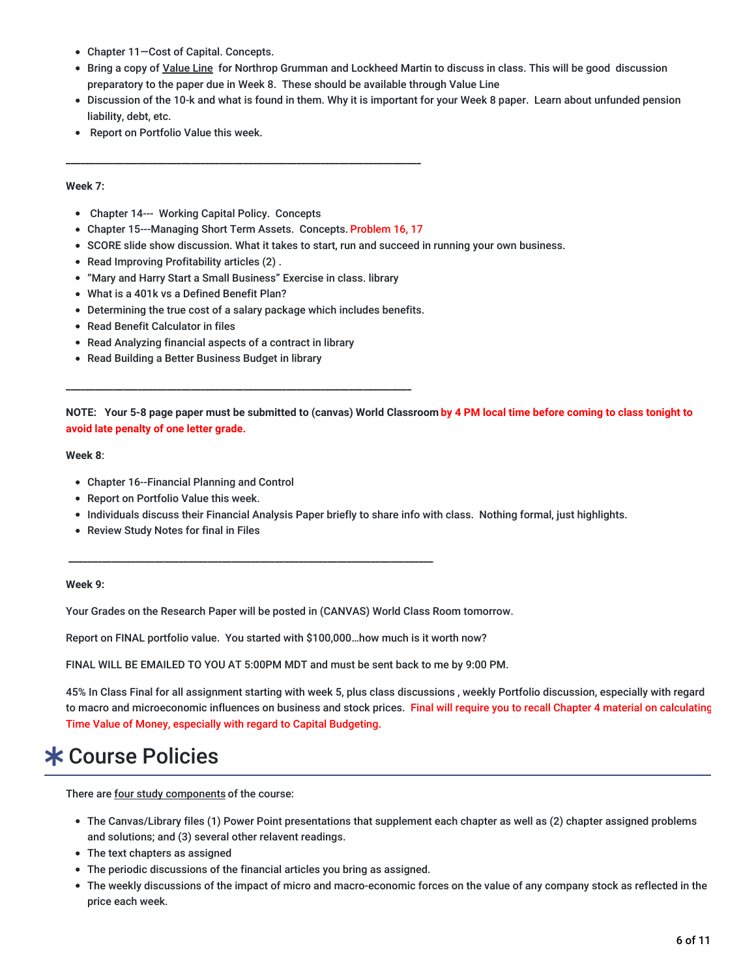- Chapter 11—Cost of Capital. Concepts.
- Bring a copy of Value Line for Northrop Grumman and Lockheed Martin to discuss in class. This will be good discussion preparatory to the paper due in Week 8. These should be available through Value Line
- Discussion of the 10-k and what is found in them. Why it is important for your Week 8 paper. Learn about unfunded pension liability, debt, etc.
- Report on Portfolio Value this week.

#### **Week 7:**

- Chapter 14--- Working Capital Policy. Concepts
- Chapter 15---Managing Short Term Assets. Concepts. Problem 16, 17

**\_\_\_\_\_\_\_\_\_\_\_\_\_\_\_\_\_\_\_\_\_\_\_\_\_\_\_\_\_\_\_\_\_\_\_\_\_\_\_\_\_\_\_\_\_\_\_\_\_\_\_\_\_\_\_\_\_\_\_\_\_\_\_\_\_\_\_\_\_\_\_\_\_\_**

- SCORE slide show discussion. What it takes to start, run and succeed in running your own business.
- Read Improving Profitability articles (2).
- "Mary and Harry Start a Small Business" Exercise in class. library
- What is a 401k vs a Defined Benefit Plan?
- Determining the true cost of a salary package which includes benefits.

**\_\_\_\_\_\_\_\_\_\_\_\_\_\_\_\_\_\_\_\_\_\_\_\_\_\_\_\_\_\_\_\_\_\_\_\_\_\_\_\_\_\_\_\_\_\_\_\_\_\_\_\_\_\_\_\_\_\_\_\_\_\_\_\_\_\_\_\_\_\_\_\_**

- Read Benefit Calculator in files
- Read Analyzing financial aspects of a contract in library
- Read Building a Better Business Budget in library

NOTE: Your 5-8 page paper must be submitted to (canvas) World Classroom by 4 PM local time before coming to class tonight to **avoid late penalty of one letter grade.**

#### **Week 8**:

- Chapter 16--Financial Planning and Control
- Report on Portfolio Value this week.
- Individuals discuss their Financial Analysis Paper briefly to share info with class. Nothing formal, just highlights.
- Review Study Notes for final in Files

#### **Week 9:**

Your Grades on the Research Paper will be posted in (CANVAS) World Class Room tomorrow.

Report on FINAL portfolio value. You started with \$100,000…how much is it worth now?

**\_\_\_\_\_\_\_\_\_\_\_\_\_\_\_\_\_\_\_\_\_\_\_\_\_\_\_\_\_\_\_\_\_\_\_\_\_\_\_\_\_\_\_\_\_\_\_\_\_\_\_\_\_\_\_\_\_\_\_\_\_\_\_\_\_\_\_\_\_\_\_\_\_\_\_\_**

FINAL WILL BE EMAILED TO YOU AT 5:00PM MDT and must be sent back to me by 9:00 PM.

45% In Class Final for all assignment starting with week 5, plus class discussions , weekly Portfolio discussion, especially with regard to macro and microeconomic influences on business and stock prices. Final will require you to recall Chapter 4 material on calculating Time Value of Money, especially with regard to Capital Budgeting.

## Course Policies

There are four study components of the course:

- The Canvas/Library files (1) Power Point presentations that supplement each chapter as well as (2) chapter assigned problems and solutions; and (3) several other relavent readings.
- The text chapters as assigned
- The periodic discussions of the financial articles you bring as assigned.
- The weekly discussions of the impact of micro and macro-economic forces on the value of any company stock as reflected in the price each week.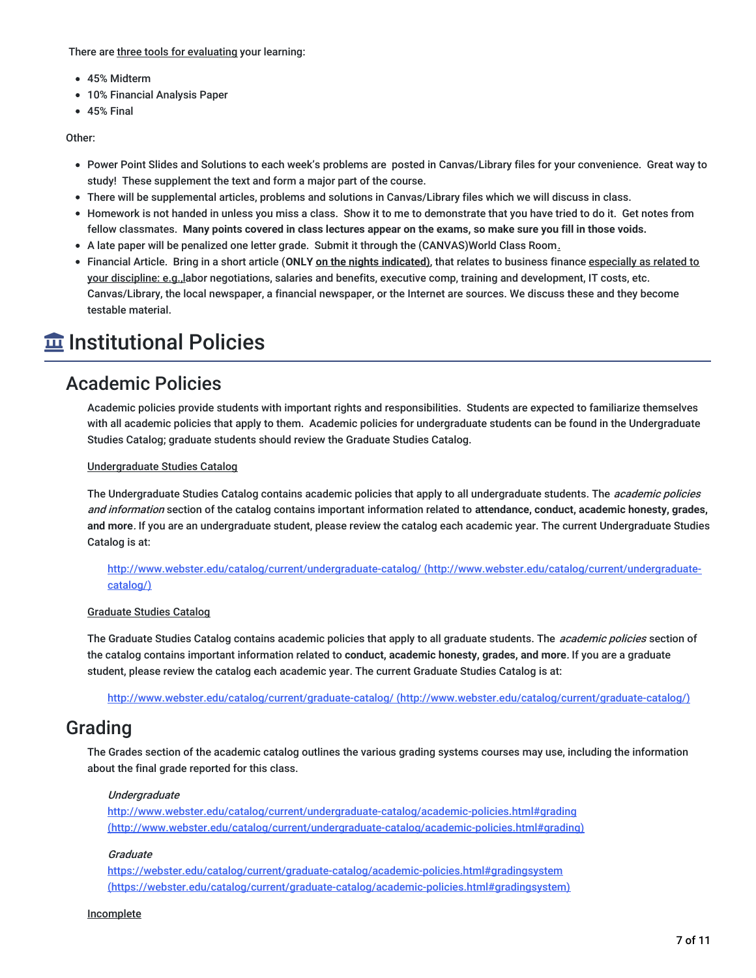There are three tools for evaluating your learning:

- 45% Midterm
- 10% Financial Analysis Paper
- $-45%$  Final

Other:

- Power Point Slides and Solutions to each week's problems are posted in Canvas/Library files for your convenience. Great way to study! These supplement the text and form a major part of the course.
- There will be supplemental articles, problems and solutions in Canvas/Library files which we will discuss in class.
- Homework is not handed in unless you miss a class. Show it to me to demonstrate that you have tried to do it. Get notes from fellow classmates. Many points covered in class lectures appear on the exams, so make sure you fill in those voids.
- A late paper will be penalized one letter grade. Submit it through the (CANVAS)World Class Room.
- Financial Article. Bring in a short article (**ONLY on the nights indicated)**, that relates to business finance especially as related to your discipline: e.g.,labor negotiations, salaries and benefits, executive comp, training and development, IT costs, etc. Canvas/Library, the local newspaper, a financial newspaper, or the Internet are sources. We discuss these and they become testable material.

## **Institutional Policies**

### Academic Policies

Academic policies provide students with important rights and responsibilities. Students are expected to familiarize themselves with all academic policies that apply to them. Academic policies for undergraduate students can be found in the Undergraduate Studies Catalog; graduate students should review the Graduate Studies Catalog.

#### Undergraduate Studies Catalog

The Undergraduate Studies Catalog contains academic policies that apply to all undergraduate students. The *academic policies* and information section of the catalog contains important information related to **attendance, conduct, academic honesty, grades, and more**. If you are an undergraduate student, please review the catalog each academic year. The current Undergraduate Studies Catalog is at:

<http://www.webster.edu/catalog/current/undergraduate-catalog/> (http://www.webster.edu/catalog/current/undergraduatecatalog/)

#### Graduate Studies Catalog

The Graduate Studies Catalog contains academic policies that apply to all graduate students. The *academic policies* section of the catalog contains important information related to **conduct, academic honesty, grades, and more**. If you are a graduate student, please review the catalog each academic year. The current Graduate Studies Catalog is at:

http://www.webster.edu/catalog/current/graduate-catalog/ [\(http://www.webster.edu/catalog/current/graduate-catalog/\)](http://www.webster.edu/catalog/current/graduate-catalog/)

### Grading

The Grades section of the academic catalog outlines the various grading systems courses may use, including the information about the final grade reported for this class.

#### Undergraduate

<http://www.webster.edu/catalog/current/undergraduate-catalog/academic-policies.html#grading> (http://www.webster.edu/catalog/current/undergraduate-catalog/academic-policies.html#grading)

#### **Graduate**

<https://webster.edu/catalog/current/graduate-catalog/academic-policies.html#gradingsystem> (https://webster.edu/catalog/current/graduate-catalog/academic-policies.html#gradingsystem)

#### **Incomplete**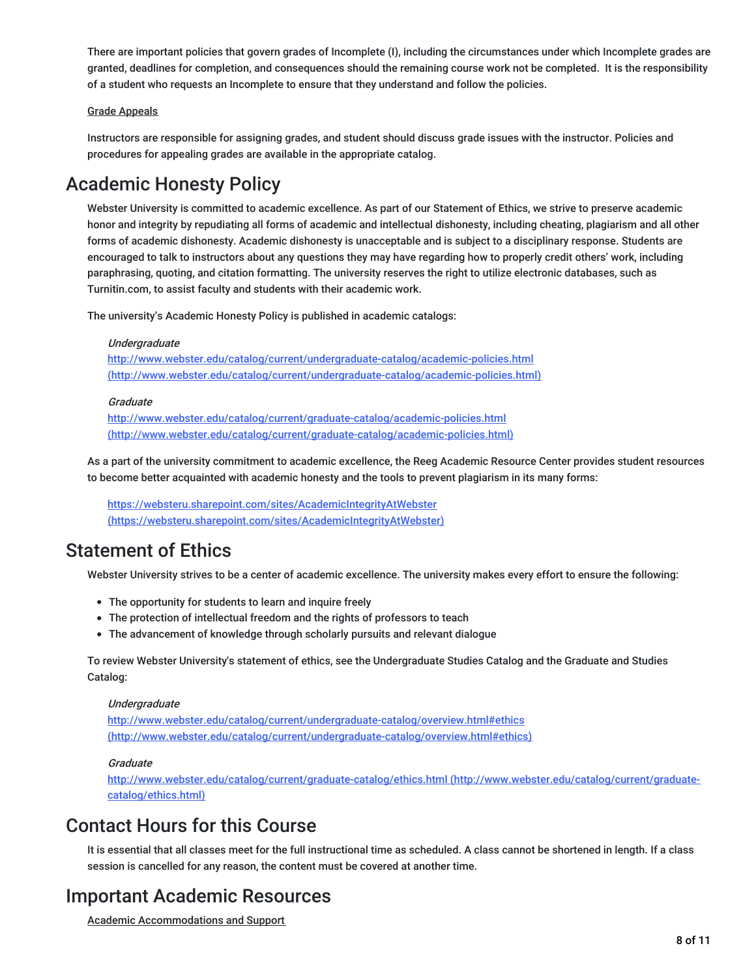There are important policies that govern grades of Incomplete (I), including the circumstances under which Incomplete grades are granted, deadlines for completion, and consequences should the remaining course work not be completed. It is the responsibility of a student who requests an Incomplete to ensure that they understand and follow the policies.

#### Grade Appeals

Instructors are responsible for assigning grades, and student should discuss grade issues with the instructor. Policies and procedures for appealing grades are available in the appropriate catalog.

### Academic Honesty Policy

Webster University is committed to academic excellence. As part of our Statement of Ethics, we strive to preserve academic honor and integrity by repudiating all forms of academic and intellectual dishonesty, including cheating, plagiarism and all other forms of academic dishonesty. Academic dishonesty is unacceptable and is subject to a disciplinary response. Students are encouraged to talk to instructors about any questions they may have regarding how to properly credit others' work, including paraphrasing, quoting, and citation formatting. The university reserves the right to utilize electronic databases, such as Turnitin.com, to assist faculty and students with their academic work.

The university's Academic Honesty Policy is published in academic catalogs:

#### Undergraduate

http://www.webster.edu/catalog/current/undergraduate-catalog/academic-policies.html [\(http://www.webster.edu/catalog/current/undergraduate-catalog/academic-policies.html\)](http://www.webster.edu/catalog/current/undergraduate-catalog/academic-policies.html)

#### **Graduate**

http://www.webster.edu/catalog/current/graduate-catalog/academic-policies.html [\(http://www.webster.edu/catalog/current/graduate-catalog/academic-policies.html\)](http://www.webster.edu/catalog/current/graduate-catalog/academic-policies.html)

As a part of the university commitment to academic excellence, the Reeg Academic Resource Center provides student resources to become better acquainted with academic honesty and the tools to prevent plagiarism in its many forms:

<https://websteru.sharepoint.com/sites/AcademicIntegrityAtWebster> (https://websteru.sharepoint.com/sites/AcademicIntegrityAtWebster)

### Statement of Ethics

Webster University strives to be a center of academic excellence. The university makes every effort to ensure the following:

- The opportunity for students to learn and inquire freely
- The protection of intellectual freedom and the rights of professors to teach
- The advancement of knowledge through scholarly pursuits and relevant dialogue

To review Webster University's statement of ethics, see the Undergraduate Studies Catalog and the Graduate and Studies Catalog:

#### Undergraduate

<http://www.webster.edu/catalog/current/undergraduate-catalog/overview.html#ethics> (http://www.webster.edu/catalog/current/undergraduate-catalog/overview.html#ethics)

#### **Graduate**

<http://www.webster.edu/catalog/current/graduate-catalog/ethics.html> (http://www.webster.edu/catalog/current/graduatecatalog/ethics.html)

### Contact Hours for this Course

It is essential that all classes meet for the full instructional time as scheduled. A class cannot be shortened in length. If a class session is cancelled for any reason, the content must be covered at another time.

### Important Academic Resources

Academic Accommodations and Support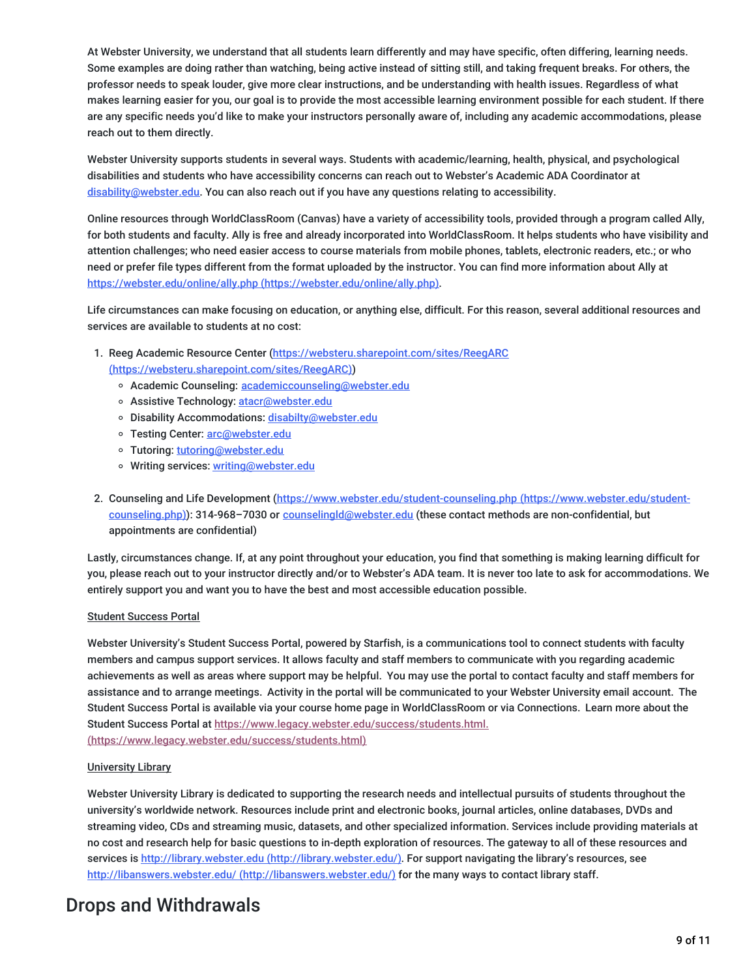At Webster University, we understand that all students learn differently and may have specific, often differing, learning needs. Some examples are doing rather than watching, being active instead of sitting still, and taking frequent breaks. For others, the professor needs to speak louder, give more clear instructions, and be understanding with health issues. Regardless of what makes learning easier for you, our goal is to provide the most accessible learning environment possible for each student. If there are any specific needs you'd like to make your instructors personally aware of, including any academic accommodations, please reach out to them directly.

Webster University supports students in several ways. Students with academic/learning, health, physical, and psychological disabilities and students who have accessibility concerns can reach out to Webster's Academic ADA Coordinator at [disability@webster.edu](mailto:disability@webster.edu). You can also reach out if you have any questions relating to accessibility.

Online resources through WorldClassRoom (Canvas) have a variety of accessibility tools, provided through a program called Ally, for both students and faculty. Ally is free and already incorporated into WorldClassRoom. It helps students who have visibility and attention challenges; who need easier access to course materials from mobile phones, tablets, electronic readers, etc.; or who need or prefer file types different from the format uploaded by the instructor. You can find more information about Ally at https://webster.edu/online/ally.php [\(https://webster.edu/online/ally.php\)](https://webster.edu/online/ally.php).

Life circumstances can make focusing on education, or anything else, difficult. For this reason, several additional resources and services are available to students at no cost:

- 1. Reeg Academic Resource Center (https://websteru.sharepoint.com/sites/ReegARC [\(https://websteru.sharepoint.com/sites/ReegARC\)\)](https://websteru.sharepoint.com/sites/ReegARC)
	- o Academic Counseling: [academiccounseling@webster.edu](mailto:academiccounseling@webster.edu)
	- o Assistive Technology: [atacr@webster.edu](mailto:atacr@webster.edu)
	- o Disability Accommodations: [disabilty@webster.edu](mailto:disabilty@webster.edu)
	- o Testing Center: [arc@webster.edu](mailto:arc@webster.edu)
	- Tutoring: [tutoring@webster.edu](mailto:tutoring@webster.edu)
	- o Writing services: [writing@webster.edu](mailto:writing@webster.edu)
- 2. Counseling and Life Development [\(https://www.webster.edu/student-counseling.php](https://www.webster.edu/student-counseling.php) (https://www.webster.edu/studentcounseling.php)): 314-968–7030 or [counselingld@webster.edu](mailto:counselingld@webster.edu) (these contact methods are non-confidential, but appointments are confidential)

Lastly, circumstances change. If, at any point throughout your education, you find that something is making learning difficult for you, please reach out to your instructor directly and/or to Webster's ADA team. It is never too late to ask for accommodations. We entirely support you and want you to have the best and most accessible education possible.

#### Student Success Portal

Webster University's Student Success Portal, powered by Starfish, is a communications tool to connect students with faculty members and campus support services. It allows faculty and staff members to communicate with you regarding academic achievements as well as areas where support may be helpful. You may use the portal to contact faculty and staff members for assistance and to arrange meetings. Activity in the portal will be communicated to your Webster University email account. The Student Success Portal is available via your course home page in WorldClassRoom or via Connections. Learn more about the Student Success Portal at [https://www.legacy.webster.edu/success/students.html.](https://www.legacy.webster.edu/success/students.html)

(https://www.legacy.webster.edu/success/students.html)

#### University Library

Webster University Library is dedicated to supporting the research needs and intellectual pursuits of students throughout the university's worldwide network. Resources include print and electronic books, journal articles, online databases, DVDs and streaming video, CDs and streaming music, datasets, and other specialized information. Services include providing materials at no cost and research help for basic questions to in-depth exploration of resources. The gateway to all of these resources and services is http://library.webster.edu [\(http://library.webster.edu/\)](http://library.webster.edu/). For support navigating the library's resources, see http://libanswers.webster.edu/ [\(http://libanswers.webster.edu/\)](http://libanswers.webster.edu/) for the many ways to contact library staff.

## Drops and Withdrawals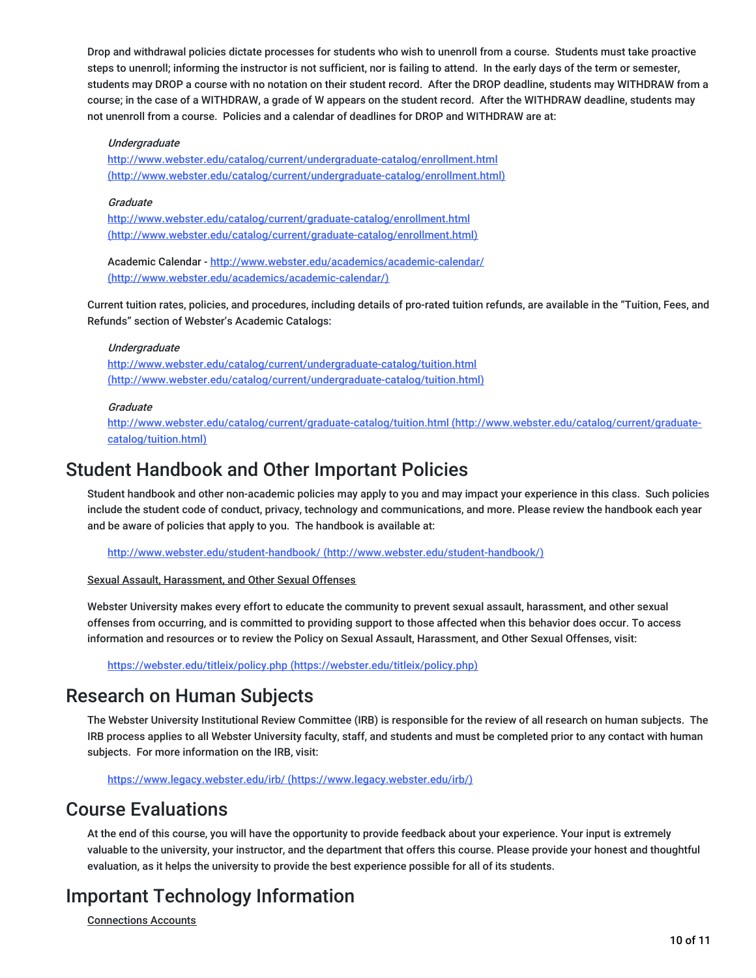Drop and withdrawal policies dictate processes for students who wish to unenroll from a course. Students must take proactive steps to unenroll; informing the instructor is not sufficient, nor is failing to attend. In the early days of the term or semester, students may DROP a course with no notation on their student record. After the DROP deadline, students may WITHDRAW from a course; in the case of a WITHDRAW, a grade of W appears on the student record. After the WITHDRAW deadline, students may not unenroll from a course. Policies and a calendar of deadlines for DROP and WITHDRAW are at:

#### Undergraduate

<http://www.webster.edu/catalog/current/undergraduate-catalog/enrollment.html> (http://www.webster.edu/catalog/current/undergraduate-catalog/enrollment.html)

#### **Graduate**

http://www.webster.edu/catalog/current/graduate-catalog/enrollment.html [\(http://www.webster.edu/catalog/current/graduate-catalog/enrollment.html\)](http://www.webster.edu/catalog/current/graduate-catalog/enrollment.html)

Academic Calendar - http://www.webster.edu/academics/academic-calendar/ [\(http://www.webster.edu/academics/academic-calendar/\)](http://www.webster.edu/academics/academic-calendar/)

Current tuition rates, policies, and procedures, including details of pro-rated tuition refunds, are available in the "Tuition, Fees, and Refunds" section of Webster's Academic Catalogs:

#### Undergraduate

http://www.webster.edu/catalog/current/undergraduate-catalog/tuition.html [\(http://www.webster.edu/catalog/current/undergraduate-catalog/tuition.html\)](http://www.webster.edu/catalog/current/undergraduate-catalog/tuition.html)

#### **Graduate**

<http://www.webster.edu/catalog/current/graduate-catalog/tuition.html> (http://www.webster.edu/catalog/current/graduatecatalog/tuition.html)

### Student Handbook and Other Important Policies

Student handbook and other non-academic policies may apply to you and may impact your experience in this class. Such policies include the student code of conduct, privacy, technology and communications, and more. Please review the handbook each year and be aware of policies that apply to you. The handbook is available at:

http://www.webster.edu/student-handbook/ [\(http://www.webster.edu/student-handbook/\)](http://www.webster.edu/student-handbook/)

#### Sexual Assault, Harassment, and Other Sexual Offenses

Webster University makes every effort to educate the community to prevent sexual assault, harassment, and other sexual offenses from occurring, and is committed to providing support to those affected when this behavior does occur. To access information and resources or to review the Policy on Sexual Assault, Harassment, and Other Sexual Offenses, visit:

https://webster.edu/titleix/policy.php [\(https://webster.edu/titleix/policy.php\)](https://webster.edu/titleix/policy.php)

### Research on Human Subjects

The Webster University Institutional Review Committee (IRB) is responsible for the review of all research on human subjects. The IRB process applies to all Webster University faculty, staff, and students and must be completed prior to any contact with human subjects. For more information on the IRB, visit:

https://www.legacy.webster.edu/irb/ [\(https://www.legacy.webster.edu/irb/\)](https://www.legacy.webster.edu/irb/)

### Course Evaluations

At the end of this course, you will have the opportunity to provide feedback about your experience. Your input is extremely valuable to the university, your instructor, and the department that offers this course. Please provide your honest and thoughtful evaluation, as it helps the university to provide the best experience possible for all of its students.

## Important Technology Information

Connections Accounts